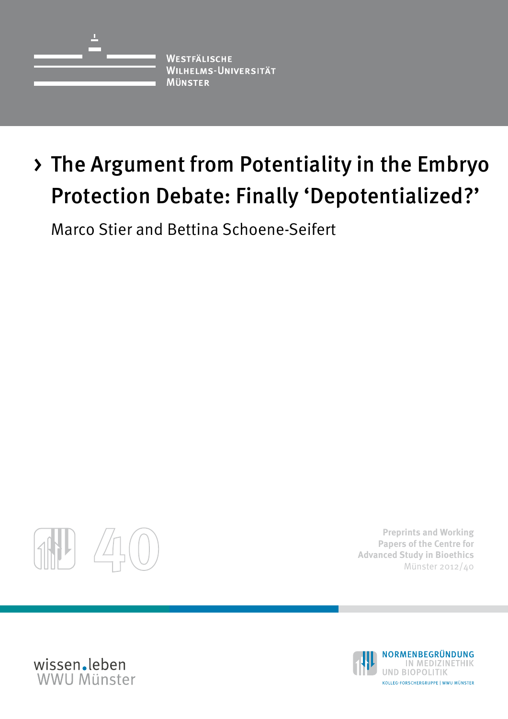

WESTFÄLISCHE WILHELMS-UNIVERSITÄT **MÜNSTER** 

# > The Argument from Potentiality in the Embryo Protection Debate: Finally 'Depotentialized?'

Marco Stier and Bettina Schoene-Seifert



**Preprints and Working Papers of the Centre for Advanced Study in Bioethics** Münster 2012/40



wissen.leben **WWU Münster**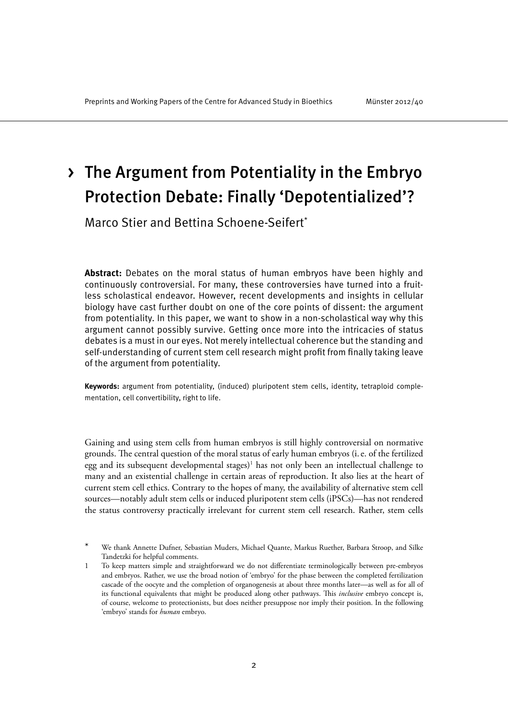# > The Argument from Potentiality in the Embryo Protection Debate: Finally 'Depotentialized'?

Marco Stier and Bettina Schoene-Seifert\*

**Abstract:** Debates on the moral status of human embryos have been highly and continuously controversial. For many, these controversies have turned into a fruitless scholastical endeavor. However, recent developments and insights in cellular biology have cast further doubt on one of the core points of dissent: the argument from potentiality. In this paper, we want to show in a non-scholastical way why this argument cannot possibly survive. Getting once more into the intricacies of status debates is a must in our eyes. Not merely intellectual coherence but the standing and self-understanding of current stem cell research might profit from finally taking leave of the argument from potentiality.

**Keywords:** argument from potentiality, (induced) pluripotent stem cells, identity, tetraploid complementation, cell convertibility, right to life.

Gaining and using stem cells from human embryos is still highly controversial on normative grounds. The central question of the moral status of early human embryos (i.e. of the fertilized egg and its subsequent developmental stages)<sup>1</sup> has not only been an intellectual challenge to many and an existential challenge in certain areas of reproduction. It also lies at the heart of current stem cell ethics. Contrary to the hopes of many, the availability of alternative stem cell sources—notably adult stem cells or induced pluripotent stem cells (iPSCs)—has not rendered the status controversy practically irrelevant for current stem cell research. Rather, stem cells

We thank Annette Dufner, Sebastian Muders, Michael Quante, Markus Ruether, Barbara Stroop, and Silke Tandetzki for helpful comments.

<sup>1</sup> To keep matters simple and straightforward we do not differentiate terminologically between pre-embryos and embryos. Rather, we use the broad notion of 'embryo' for the phase between the completed fertilization cascade of the oocyte and the completion of organogenesis at about three months later—as well as for all of its functional equivalents that might be produced along other pathways. This *inclusive* embryo concept is, of course, welcome to protectionists, but does neither presuppose nor imply their position. In the following 'embryo' stands for *human* embryo.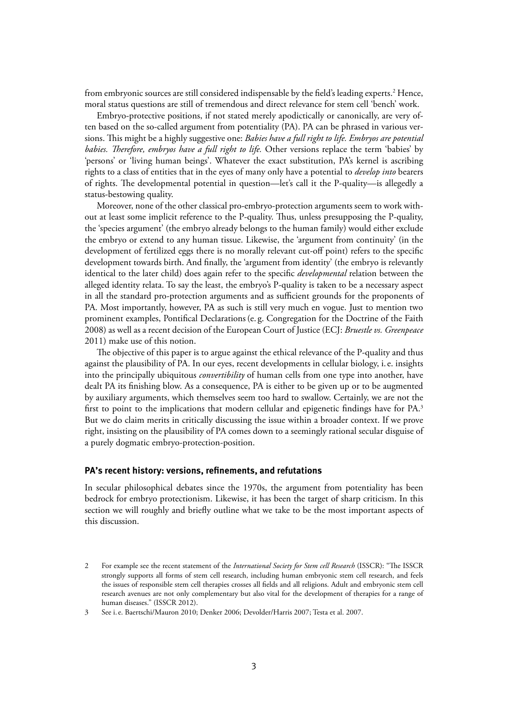from embryonic sources are still considered indispensable by the field's leading experts.<sup>2</sup> Hence, moral status questions are still of tremendous and direct relevance for stem cell 'bench' work.

Embryo-protective positions, if not stated merely apodictically or canonically, are very often based on the so-called argument from potentiality (PA). PA can be phrased in various versions. This might be a highly suggestive one: *Babies have a full right to life. Embryos are potential babies. Therefore, embryos have a full right to life.* Other versions replace the term 'babies' by 'persons' or 'living human beings'. Whatever the exact substitution, PA's kernel is ascribing rights to a class of entities that in the eyes of many only have a potential to *develop into* bearers of rights. The developmental potential in question—let's call it the P-quality—is allegedly a status-bestowing quality.

Moreover, none of the other classical pro-embryo-protection arguments seem to work without at least some implicit reference to the P-quality. Thus, unless presupposing the P-quality, the 'species argument' (the embryo already belongs to the human family) would either exclude the embryo or extend to any human tissue. Likewise, the 'argument from continuity' (in the development of fertilized eggs there is no morally relevant cut-off point) refers to the specific development towards birth. And finally, the 'argument from identity' (the embryo is relevantly identical to the later child) does again refer to the specific *developmental* relation between the alleged identity relata. To say the least, the embryo's P-quality is taken to be a necessary aspect in all the standard pro-protection arguments and as sufficient grounds for the proponents of PA. Most importantly, however, PA as such is still very much en vogue. Just to mention two prominent examples, Pontifical Declarations(e. g. Congregation for the Doctrine of the Faith 2008) as well as a recent decision of the European Court of Justice (ECJ: *Bruestle vs. Greenpeace* 2011) make use of this notion.

The objective of this paper is to argue against the ethical relevance of the P-quality and thus against the plausibility of PA. In our eyes, recent developments in cellular biology, i.e. insights into the principally ubiquitous *convertibility* of human cells from one type into another, have dealt PA its finishing blow. As a consequence, PA is either to be given up or to be augmented by auxiliary arguments, which themselves seem too hard to swallow. Certainly, we are not the first to point to the implications that modern cellular and epigenetic findings have for PA.3 But we do claim merits in critically discussing the issue within a broader context. If we prove right, insisting on the plausibility of PA comes down to a seemingly rational secular disguise of a purely dogmatic embryo-protection-position.

# **PA's recent history: versions, refinements, and refutations**

In secular philosophical debates since the 1970s, the argument from potentiality has been bedrock for embryo protectionism. Likewise, it has been the target of sharp criticism. In this section we will roughly and briefly outline what we take to be the most important aspects of this discussion.

<sup>2</sup> For example see the recent statement of the *International Society for Stem cell Research* (ISSCR): "The ISSCR strongly supports all forms of stem cell research, including human embryonic stem cell research, and feels the issues of responsible stem cell therapies crosses all fields and all religions. Adult and embryonic stem cell research avenues are not only complementary but also vital for the development of therapies for a range of human diseases." (ISSCR 2012).

<sup>3</sup> See i.e. Baertschi/Mauron 2010; Denker 2006; Devolder/Harris 2007; Testa et al. 2007.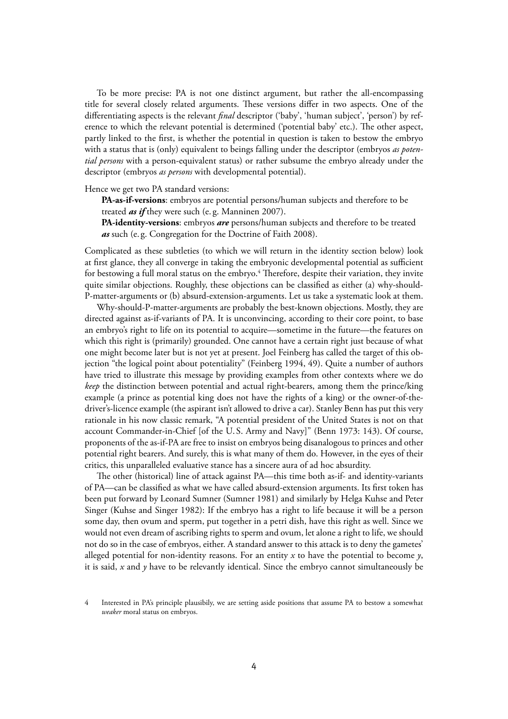To be more precise: PA is not one distinct argument, but rather the all-encompassing title for several closely related arguments. These versions differ in two aspects. One of the differentiating aspects is the relevant *final* descriptor ('baby', 'human subject', 'person') by reference to which the relevant potential is determined ('potential baby' etc.). The other aspect, partly linked to the first, is whether the potential in question is taken to bestow the embryo with a status that is (only) equivalent to beings falling under the descriptor (embryos *as potential persons* with a person-equivalent status) or rather subsume the embryo already under the descriptor (embryos *as persons* with developmental potential).

Hence we get two PA standard versions:

**PA-as-if-versions**: embryos are potential persons/human subjects and therefore to be treated *as if* they were such (e. g. Manninen 2007).

**PA-identity-versions**: embryos *are* persons/human subjects and therefore to be treated *as* such (e. g. Congregation for the Doctrine of Faith 2008).

Complicated as these subtleties (to which we will return in the identity section below) look at first glance, they all converge in taking the embryonic developmental potential as sufficient for bestowing a full moral status on the embryo.<sup>4</sup> Therefore, despite their variation, they invite quite similar objections. Roughly, these objections can be classified as either (a) why-should-P-matter-arguments or (b) absurd-extension-arguments. Let us take a systematic look at them.

Why-should-P-matter-arguments are probably the best-known objections. Mostly, they are directed against as-if-variants of PA. It is unconvincing, according to their core point, to base an embryo's right to life on its potential to acquire—sometime in the future—the features on which this right is (primarily) grounded. One cannot have a certain right just because of what one might become later but is not yet at present. Joel Feinberg has called the target of this objection "the logical point about potentiality" (Feinberg 1994, 49). Quite a number of authors have tried to illustrate this message by providing examples from other contexts where we do *keep* the distinction between potential and actual right-bearers, among them the prince/king example (a prince as potential king does not have the rights of a king) or the owner-of-thedriver's-licence example (the aspirant isn't allowed to drive a car). Stanley Benn has put this very rationale in his now classic remark, "A potential president of the United States is not on that account Commander-in-Chief [of the U. S. Army and Navy]" (Benn 1973: 143). Of course, proponents of the as-if-PA are free to insist on embryos being disanalogous to princes and other potential right bearers. And surely, this is what many of them do. However, in the eyes of their critics, this unparalleled evaluative stance has a sincere aura of ad hoc absurdity.

The other (historical) line of attack against PA—this time both as-if- and identity-variants of PA—can be classified as what we have called absurd-extension arguments. Its first token has been put forward by Leonard Sumner (Sumner 1981) and similarly by Helga Kuhse and Peter Singer (Kuhse and Singer 1982): If the embryo has a right to life because it will be a person some day, then ovum and sperm, put together in a petri dish, have this right as well. Since we would not even dream of ascribing rights to sperm and ovum, let alone a right to life, we should not do so in the case of embryos, either. A standard answer to this attack is to deny the gametes' alleged potential for non-identity reasons. For an entity  $x$  to have the potential to become  $y$ , it is said, x and  $\gamma$  have to be relevantly identical. Since the embryo cannot simultaneously be

4 Interested in PA's principle plausibily, we are setting aside positions that assume PA to bestow a somewhat *weaker* moral status on embryos.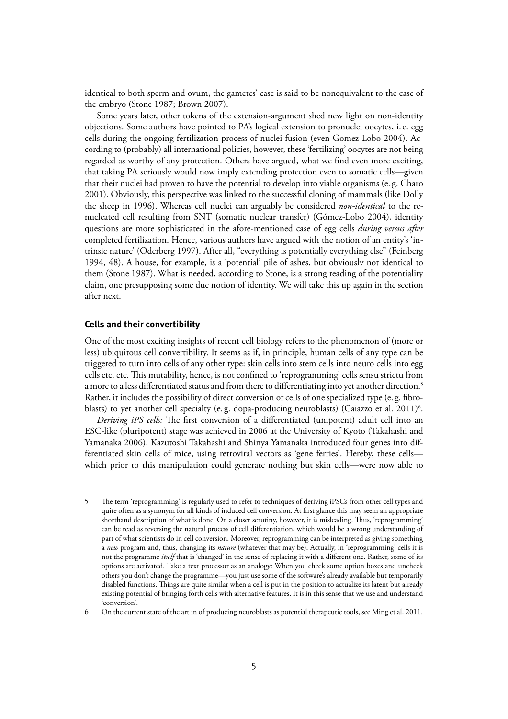identical to both sperm and ovum, the gametes' case is said to be nonequivalent to the case of the embryo (Stone 1987; Brown 2007).

Some years later, other tokens of the extension-argument shed new light on non-identity objections. Some authors have pointed to PA's logical extension to pronuclei oocytes, i.e. egg cells during the ongoing fertilization process of nuclei fusion (even Gomez-Lobo 2004). According to (probably) all international policies, however, these 'fertilizing' oocytes are not being regarded as worthy of any protection. Others have argued, what we find even more exciting, that taking PA seriously would now imply extending protection even to somatic cells—given that their nuclei had proven to have the potential to develop into viable organisms (e. g. Charo 2001). Obviously, this perspective was linked to the successful cloning of mammals (like Dolly the sheep in 1996). Whereas cell nuclei can arguably be considered *non-identical* to the renucleated cell resulting from SNT (somatic nuclear transfer) (Gómez-Lobo 2004), identity questions are more sophisticated in the afore-mentioned case of egg cells *during versus after* completed fertilization. Hence, various authors have argued with the notion of an entity's 'intrinsic nature' (Oderberg 1997). After all, "everything is potentially everything else" (Feinberg 1994, 48). A house, for example, is a 'potential' pile of ashes, but obviously not identical to them (Stone 1987). What is needed, according to Stone, is a strong reading of the potentiality claim, one presupposing some due notion of identity. We will take this up again in the section after next.

## **Cells and their convertibility**

One of the most exciting insights of recent cell biology refers to the phenomenon of (more or less) ubiquitous cell convertibility. It seems as if, in principle, human cells of any type can be triggered to turn into cells of any other type: skin cells into stem cells into neuro cells into egg cells etc. etc. This mutability, hence, is not confined to 'reprogramming' cells sensu strictu from a more to a less differentiated status and from there to differentiating into yet another direction.<sup>5</sup> Rather, it includes the possibility of direct conversion of cells of one specialized type (e. g. fibroblasts) to yet another cell specialty (e.g. dopa-producing neuroblasts) (Caiazzo et al. 2011)<sup>6</sup>.

*Deriving iPS cells:* The first conversion of a differentiated (unipotent) adult cell into an ESC-like (pluripotent) stage was achieved in 2006 at the University of Kyoto (Takahashi and Yamanaka 2006). Kazutoshi Takahashi and Shinya Yamanaka introduced four genes into differentiated skin cells of mice, using retroviral vectors as 'gene ferries'. Hereby, these cells which prior to this manipulation could generate nothing but skin cells—were now able to

- 5 The term 'reprogramming' is regularly used to refer to techniques of deriving iPSCs from other cell types and quite often as a synonym for all kinds of induced cell conversion. At first glance this may seem an appropriate shorthand description of what is done. On a closer scrutiny, however, it is misleading. Thus, 'reprogramming' can be read as reversing the natural process of cell differentiation, which would be a wrong understanding of part of what scientists do in cell conversion. Moreover, reprogramming can be interpreted as giving something a *new* program and, thus, changing its *nature* (whatever that may be). Actually, in 'reprogramming' cells it is not the programme *itself* that is 'changed' in the sense of replacing it with a different one. Rather, some of its options are activated. Take a text processor as an analogy: When you check some option boxes and uncheck others you don't change the programme—you just use some of the software's already available but temporarily disabled functions. Things are quite similar when a cell is put in the position to actualize its latent but already existing potential of bringing forth cells with alternative features. It is in this sense that we use and understand 'conversion'.
- 6 On the current state of the art in of producing neuroblasts as potential therapeutic tools, see Ming et al. 2011.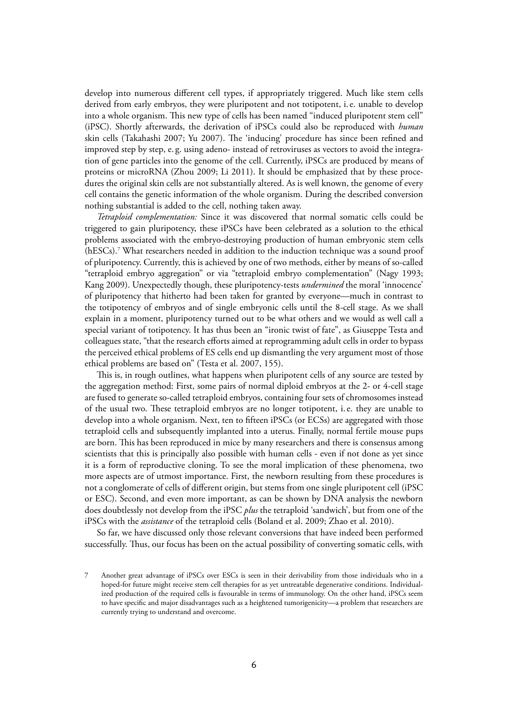develop into numerous different cell types, if appropriately triggered. Much like stem cells derived from early embryos, they were pluripotent and not totipotent, i.e. unable to develop into a whole organism. This new type of cells has been named "induced pluripotent stem cell" (iPSC). Shortly afterwards, the derivation of iPSCs could also be reproduced with *human* skin cells (Takahashi 2007; Yu 2007). The 'inducing' procedure has since been refined and improved step by step, e. g. using adeno- instead of retroviruses as vectors to avoid the integration of gene particles into the genome of the cell. Currently, iPSCs are produced by means of proteins or microRNA (Zhou 2009; Li 2011). It should be emphasized that by these procedures the original skin cells are not substantially altered. As is well known, the genome of every cell contains the genetic information of the whole organism. During the described conversion nothing substantial is added to the cell, nothing taken away.

*Tetraploid complementation:* Since it was discovered that normal somatic cells could be triggered to gain pluripotency, these iPSCs have been celebrated as a solution to the ethical problems associated with the embryo-destroying production of human embryonic stem cells (hESCs).7 What researchers needed in addition to the induction technique was a sound proof of pluripotency. Currently, this is achieved by one of two methods, either by means of so-called "tetraploid embryo aggregation" or via "tetraploid embryo complementation" (Nagy 1993; Kang 2009). Unexpectedly though, these pluripotency-tests *undermined* the moral 'innocence' of pluripotency that hitherto had been taken for granted by everyone—much in contrast to the totipotency of embryos and of single embryonic cells until the 8-cell stage. As we shall explain in a moment, pluripotency turned out to be what others and we would as well call a special variant of totipotency. It has thus been an "ironic twist of fate", as Giuseppe Testa and colleagues state, "that the research efforts aimed at reprogramming adult cells in order to bypass the perceived ethical problems of ES cells end up dismantling the very argument most of those ethical problems are based on" (Testa et al. 2007, 155).

This is, in rough outlines, what happens when pluripotent cells of any source are tested by the aggregation method: First, some pairs of normal diploid embryos at the 2- or 4-cell stage are fused to generate so-called tetraploid embryos, containing four sets of chromosomes instead of the usual two. These tetraploid embryos are no longer totipotent, i.e. they are unable to develop into a whole organism. Next, ten to fifteen iPSCs (or ECSs) are aggregated with those tetraploid cells and subsequently implanted into a uterus. Finally, normal fertile mouse pups are born. This has been reproduced in mice by many researchers and there is consensus among scientists that this is principally also possible with human cells - even if not done as yet since it is a form of reproductive cloning. To see the moral implication of these phenomena, two more aspects are of utmost importance. First, the newborn resulting from these procedures is not a conglomerate of cells of different origin, but stems from one single pluripotent cell (iPSC or ESC). Second, and even more important, as can be shown by DNA analysis the newborn does doubtlessly not develop from the iPSC *plus* the tetraploid 'sandwich', but from one of the iPSCs with the *assistance* of the tetraploid cells (Boland et al. 2009; Zhao et al. 2010).

So far, we have discussed only those relevant conversions that have indeed been performed successfully. Thus, our focus has been on the actual possibility of converting somatic cells, with

<sup>7</sup> Another great advantage of iPSCs over ESCs is seen in their derivability from those individuals who in a hoped-for future might receive stem cell therapies for as yet untreatable degenerative conditions. Individualized production of the required cells is favourable in terms of immunology. On the other hand, iPSCs seem to have specific and major disadvantages such as a heightened tumorigenicity—a problem that researchers are currently trying to understand and overcome.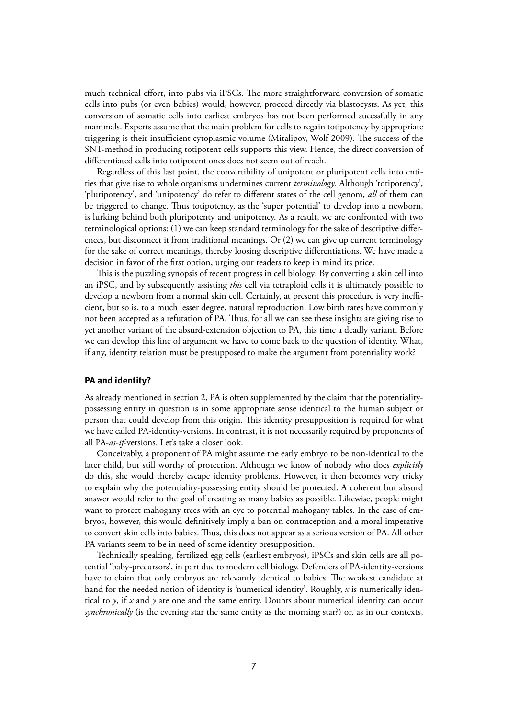much technical effort, into pubs via iPSCs. The more straightforward conversion of somatic cells into pubs (or even babies) would, however, proceed directly via blastocysts. As yet, this conversion of somatic cells into earliest embryos has not been performed sucessfully in any mammals. Experts assume that the main problem for cells to regain totipotency by appropriate triggering is their insufficient cytoplasmic volume (Mitalipov, Wolf 2009). The success of the SNT-method in producing totipotent cells supports this view. Hence, the direct conversion of differentiated cells into totipotent ones does not seem out of reach.

Regardless of this last point, the convertibility of unipotent or pluripotent cells into entities that give rise to whole organisms undermines current *terminology*. Although 'totipotency', 'pluripotency', and 'unipotency' do refer to different states of the cell genom, *all* of them can be triggered to change. Thus totipotency, as the 'super potential' to develop into a newborn, is lurking behind both pluripotenty and unipotency. As a result, we are confronted with two terminological options: (1) we can keep standard terminology for the sake of descriptive differences, but disconnect it from traditional meanings. Or (2) we can give up current terminology for the sake of correct meanings, thereby loosing descriptive differentiations. We have made a decision in favor of the first option, urging our readers to keep in mind its price.

This is the puzzling synopsis of recent progress in cell biology: By converting a skin cell into an iPSC, and by subsequently assisting *this* cell via tetraploid cells it is ultimately possible to develop a newborn from a normal skin cell. Certainly, at present this procedure is very inefficient, but so is, to a much lesser degree, natural reproduction. Low birth rates have commonly not been accepted as a refutation of PA. Thus, for all we can see these insights are giving rise to yet another variant of the absurd-extension objection to PA, this time a deadly variant. Before we can develop this line of argument we have to come back to the question of identity. What, if any, identity relation must be presupposed to make the argument from potentiality work?

#### **PA and identity?**

As already mentioned in section 2, PA is often supplemented by the claim that the potentialitypossessing entity in question is in some appropriate sense identical to the human subject or person that could develop from this origin. This identity presupposition is required for what we have called PA-identity-versions. In contrast, it is not necessarily required by proponents of all PA-*as-if*-versions. Let's take a closer look.

Conceivably, a proponent of PA might assume the early embryo to be non-identical to the later child, but still worthy of protection. Although we know of nobody who does *explicitly* do this, she would thereby escape identity problems. However, it then becomes very tricky to explain why the potentiality-possessing entity should be protected. A coherent but absurd answer would refer to the goal of creating as many babies as possible. Likewise, people might want to protect mahogany trees with an eye to potential mahogany tables. In the case of embryos, however, this would definitively imply a ban on contraception and a moral imperative to convert skin cells into babies. Thus, this does not appear as a serious version of PA. All other PA variants seem to be in need of some identity presupposition.

Technically speaking, fertilized egg cells (earliest embryos), iPSCs and skin cells are all potential 'baby-precursors', in part due to modern cell biology. Defenders of PA-identity-versions have to claim that only embryos are relevantly identical to babies. The weakest candidate at hand for the needed notion of identity is 'numerical identity'. Roughly, *x* is numerically identical to  $\gamma$ , if  $x$  and  $\gamma$  are one and the same entity. Doubts about numerical identity can occur *synchronically* (is the evening star the same entity as the morning star?) or, as in our contexts,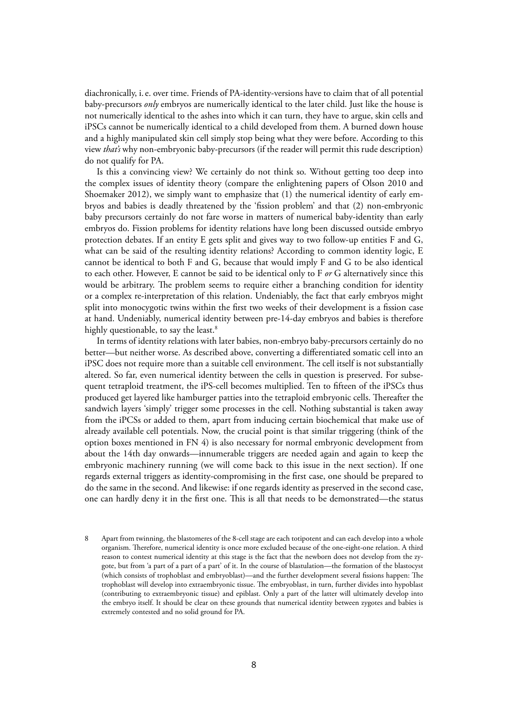diachronically, i.e. over time. Friends of PA-identity-versions have to claim that of all potential baby-precursors *only* embryos are numerically identical to the later child. Just like the house is not numerically identical to the ashes into which it can turn, they have to argue, skin cells and iPSCs cannot be numerically identical to a child developed from them. A burned down house and a highly manipulated skin cell simply stop being what they were before. According to this view *that's* why non-embryonic baby-precursors (if the reader will permit this rude description) do not qualify for PA.

Is this a convincing view? We certainly do not think so. Without getting too deep into the complex issues of identity theory (compare the enlightening papers of Olson 2010 and Shoemaker 2012), we simply want to emphasize that (1) the numerical identity of early embryos and babies is deadly threatened by the 'fission problem' and that (2) non-embryonic baby precursors certainly do not fare worse in matters of numerical baby-identity than early embryos do. Fission problems for identity relations have long been discussed outside embryo protection debates. If an entity E gets split and gives way to two follow-up entities F and G, what can be said of the resulting identity relations? According to common identity logic, E cannot be identical to both F and G, because that would imply F and G to be also identical to each other. However, E cannot be said to be identical only to F *or* G alternatively since this would be arbitrary. The problem seems to require either a branching condition for identity or a complex re-interpretation of this relation. Undeniably, the fact that early embryos might split into monocygotic twins within the first two weeks of their development is a fission case at hand. Undeniably, numerical identity between pre-14-day embryos and babies is therefore highly questionable, to say the least.<sup>8</sup>

In terms of identity relations with later babies, non-embryo baby-precursors certainly do no better—but neither worse. As described above, converting a differentiated somatic cell into an iPSC does not require more than a suitable cell environment. The cell itself is not substantially altered. So far, even numerical identity between the cells in question is preserved. For subsequent tetraploid treatment, the iPS-cell becomes multiplied. Ten to fifteen of the iPSCs thus produced get layered like hamburger patties into the tetraploid embryonic cells. Thereafter the sandwich layers 'simply' trigger some processes in the cell. Nothing substantial is taken away from the iPCSs or added to them, apart from inducing certain biochemical that make use of already available cell potentials. Now, the crucial point is that similar triggering (think of the option boxes mentioned in FN 4) is also necessary for normal embryonic development from about the 14th day onwards—innumerable triggers are needed again and again to keep the embryonic machinery running (we will come back to this issue in the next section). If one regards external triggers as identity-compromising in the first case, one should be prepared to do the same in the second. And likewise: if one regards identity as preserved in the second case, one can hardly deny it in the first one. This is all that needs to be demonstrated—the status

8 Apart from twinning, the blastomeres of the 8-cell stage are each totipotent and can each develop into a whole organism. Therefore, numerical identity is once more excluded because of the one-eight-one relation. A third reason to contest numerical identity at this stage is the fact that the newborn does not develop from the zygote, but from 'a part of a part of a part' of it. In the course of blastulation—the formation of the blastocyst (which consists of trophoblast and embryoblast)—and the further development several fissions happen: The trophoblast will develop into extraembryonic tissue. The embryoblast, in turn, further divides into hypoblast (contributing to extraembryonic tissue) and epiblast. Only a part of the latter will ultimately develop into the embryo itself. It should be clear on these grounds that numerical identity between zygotes and babies is extremely contested and no solid ground for PA.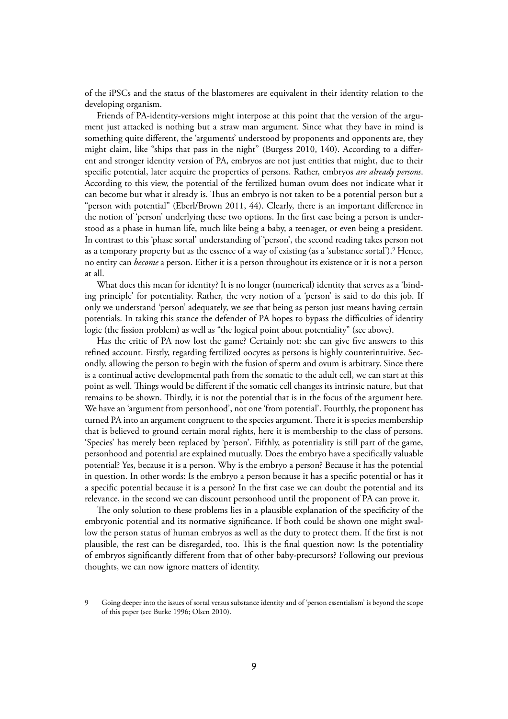of the iPSCs and the status of the blastomeres are equivalent in their identity relation to the developing organism.

Friends of PA-identity-versions might interpose at this point that the version of the argument just attacked is nothing but a straw man argument. Since what they have in mind is something quite different, the 'arguments' understood by proponents and opponents are, they might claim, like "ships that pass in the night" (Burgess 2010, 140). According to a different and stronger identity version of PA, embryos are not just entities that might, due to their specific potential, later acquire the properties of persons. Rather, embryos *are already persons*. According to this view, the potential of the fertilized human ovum does not indicate what it can become but what it already is. Thus an embryo is not taken to be a potential person but a "person with potential" (Eberl/Brown 2011, 44). Clearly, there is an important difference in the notion of 'person' underlying these two options. In the first case being a person is understood as a phase in human life, much like being a baby, a teenager, or even being a president. In contrast to this 'phase sortal' understanding of 'person', the second reading takes person not as a temporary property but as the essence of a way of existing (as a 'substance sortal').<sup>9</sup> Hence, no entity can *become* a person. Either it is a person throughout its existence or it is not a person at all.

What does this mean for identity? It is no longer (numerical) identity that serves as a 'binding principle' for potentiality. Rather, the very notion of a 'person' is said to do this job. If only we understand 'person' adequately, we see that being as person just means having certain potentials. In taking this stance the defender of PA hopes to bypass the difficulties of identity logic (the fission problem) as well as "the logical point about potentiality" (see above).

Has the critic of PA now lost the game? Certainly not: she can give five answers to this refined account. Firstly, regarding fertilized oocytes as persons is highly counterintuitive. Secondly, allowing the person to begin with the fusion of sperm and ovum is arbitrary. Since there is a continual active developmental path from the somatic to the adult cell, we can start at this point as well. Things would be different if the somatic cell changes its intrinsic nature, but that remains to be shown. Thirdly, it is not the potential that is in the focus of the argument here. We have an 'argument from personhood', not one 'from potential'. Fourthly, the proponent has turned PA into an argument congruent to the species argument. There it is species membership that is believed to ground certain moral rights, here it is membership to the class of persons. 'Species' has merely been replaced by 'person'. Fifthly, as potentiality is still part of the game, personhood and potential are explained mutually. Does the embryo have a specifically valuable potential? Yes, because it is a person. Why is the embryo a person? Because it has the potential in question. In other words: Is the embryo a person because it has a specific potential or has it a specific potential because it is a person? In the first case we can doubt the potential and its relevance, in the second we can discount personhood until the proponent of PA can prove it.

The only solution to these problems lies in a plausible explanation of the specificity of the embryonic potential and its normative significance. If both could be shown one might swallow the person status of human embryos as well as the duty to protect them. If the first is not plausible, the rest can be disregarded, too. This is the final question now: Is the potentiality of embryos significantly different from that of other baby-precursors? Following our previous thoughts, we can now ignore matters of identity.

9 Going deeper into the issues of sortal versus substance identity and of 'person essentialism' is beyond the scope of this paper (see Burke 1996; Olsen 2010).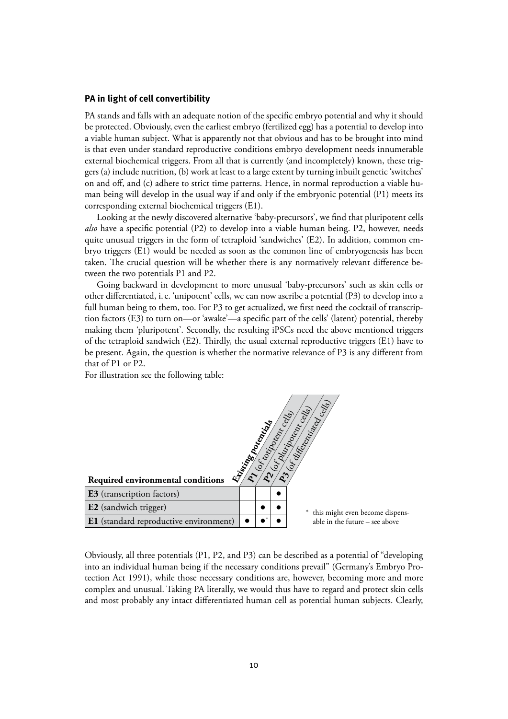# **PA in light of cell convertibility**

PA stands and falls with an adequate notion of the specific embryo potential and why it should be protected. Obviously, even the earliest embryo (fertilized egg) has a potential to develop into a viable human subject. What is apparently not that obvious and has to be brought into mind is that even under standard reproductive conditions embryo development needs innumerable external biochemical triggers. From all that is currently (and incompletely) known, these triggers (a) include nutrition, (b) work at least to a large extent by turning inbuilt genetic 'switches' on and off, and (c) adhere to strict time patterns. Hence, in normal reproduction a viable human being will develop in the usual way if and only if the embryonic potential (P1) meets its corresponding external biochemical triggers (E1).

Looking at the newly discovered alternative 'baby-precursors', we find that pluripotent cells *also* have a specific potential (P2) to develop into a viable human being. P2, however, needs quite unusual triggers in the form of tetraploid 'sandwiches' (E2). In addition, common embryo triggers (E1) would be needed as soon as the common line of embryogenesis has been taken. The crucial question will be whether there is any normatively relevant difference between the two potentials P1 and P2.

Going backward in development to more unusual 'baby-precursors' such as skin cells or other differentiated, i.e. 'unipotent' cells, we can now ascribe a potential (P3) to develop into a full human being to them, too. For P3 to get actualized, we first need the cocktail of transcription factors (E3) to turn on—or 'awake'—a specific part of the cells' (latent) potential, thereby making them 'pluripotent'. Secondly, the resulting iPSCs need the above mentioned triggers of the tetraploid sandwich  $(E2)$ . Thirdly, the usual external reproductive triggers  $(E1)$  have to be present. Again, the question is whether the normative relevance of P3 is any different from that of P1 or P2.

For illustration see the following table:



Obviously, all three potentials (P1, P2, and P3) can be described as a potential of "developing into an individual human being if the necessary conditions prevail" (Germany's Embryo Protection Act 1991), while those necessary conditions are, however, becoming more and more complex and unusual. Taking PA literally, we would thus have to regard and protect skin cells and most probably any intact differentiated human cell as potential human subjects. Clearly,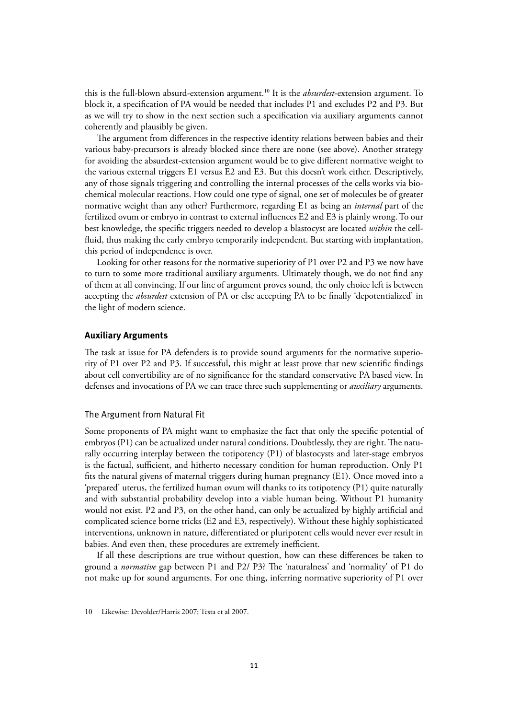this is the full-blown absurd-extension argument.10 It is the *absurdest*-extension argument. To block it, a specification of PA would be needed that includes P1 and excludes P2 and P3. But as we will try to show in the next section such a specification via auxiliary arguments cannot coherently and plausibly be given.

The argument from differences in the respective identity relations between babies and their various baby-precursors is already blocked since there are none (see above). Another strategy for avoiding the absurdest-extension argument would be to give different normative weight to the various external triggers E1 versus E2 and E3. But this doesn't work either. Descriptively, any of those signals triggering and controlling the internal processes of the cells works via biochemical molecular reactions. How could one type of signal, one set of molecules be of greater normative weight than any other? Furthermore, regarding E1 as being an *internal* part of the fertilized ovum or embryo in contrast to external influences E2 and E3 is plainly wrong. To our best knowledge, the specific triggers needed to develop a blastocyst are located *within* the cellfluid, thus making the early embryo temporarily independent. But starting with implantation, this period of independence is over.

Looking for other reasons for the normative superiority of P1 over P2 and P3 we now have to turn to some more traditional auxiliary arguments. Ultimately though, we do not find any of them at all convincing. If our line of argument proves sound, the only choice left is between accepting the *absurdest* extension of PA or else accepting PA to be finally 'depotentialized' in the light of modern science.

# **Auxiliary Arguments**

The task at issue for PA defenders is to provide sound arguments for the normative superiority of P1 over P2 and P3. If successful, this might at least prove that new scientific findings about cell convertibility are of no significance for the standard conservative PA based view. In defenses and invocations of PA we can trace three such supplementing or *auxiliary* arguments.

## The Argument from Natural Fit

Some proponents of PA might want to emphasize the fact that only the specific potential of embryos (P1) can be actualized under natural conditions. Doubtlessly, they are right. The naturally occurring interplay between the totipotency (P1) of blastocysts and later-stage embryos is the factual, sufficient, and hitherto necessary condition for human reproduction. Only P1 fits the natural givens of maternal triggers during human pregnancy (E1). Once moved into a 'prepared' uterus, the fertilized human ovum will thanks to its totipotency (P1) quite naturally and with substantial probability develop into a viable human being. Without P1 humanity would not exist. P2 and P3, on the other hand, can only be actualized by highly artificial and complicated science borne tricks (E2 and E3, respectively). Without these highly sophisticated interventions, unknown in nature, differentiated or pluripotent cells would never ever result in babies. And even then, these procedures are extremely inefficient.

If all these descriptions are true without question, how can these differences be taken to ground a *normative* gap between P1 and P2/ P3? The 'naturalness' and 'normality' of P1 do not make up for sound arguments. For one thing, inferring normative superiority of P1 over

<sup>10</sup> Likewise: Devolder/Harris 2007; Testa et al 2007.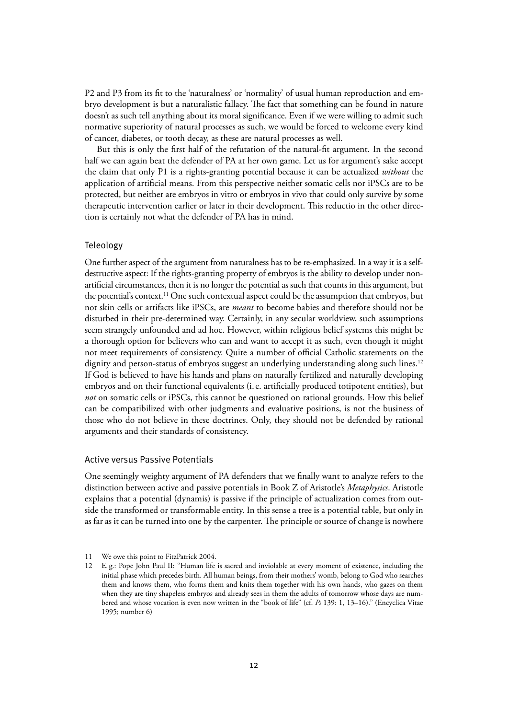P2 and P3 from its fit to the 'naturalness' or 'normality' of usual human reproduction and embryo development is but a naturalistic fallacy. The fact that something can be found in nature doesn't as such tell anything about its moral significance. Even if we were willing to admit such normative superiority of natural processes as such, we would be forced to welcome every kind of cancer, diabetes, or tooth decay, as these are natural processes as well.

But this is only the first half of the refutation of the natural-fit argument. In the second half we can again beat the defender of PA at her own game. Let us for argument's sake accept the claim that only P1 is a rights-granting potential because it can be actualized *without* the application of artificial means. From this perspective neither somatic cells nor iPSCs are to be protected, but neither are embryos in vitro or embryos in vivo that could only survive by some therapeutic intervention earlier or later in their development. This reductio in the other direction is certainly not what the defender of PA has in mind.

## Teleology

One further aspect of the argument from naturalness has to be re-emphasized. In a way it is a selfdestructive aspect: If the rights-granting property of embryos is the ability to develop under nonartificial circumstances, then it is no longer the potential as such that counts in this argument, but the potential's context.11 One such contextual aspect could be the assumption that embryos, but not skin cells or artifacts like iPSCs, are *meant* to become babies and therefore should not be disturbed in their pre-determined way. Certainly, in any secular worldview, such assumptions seem strangely unfounded and ad hoc. However, within religious belief systems this might be a thorough option for believers who can and want to accept it as such, even though it might not meet requirements of consistency. Quite a number of official Catholic statements on the dignity and person-status of embryos suggest an underlying understanding along such lines.<sup>12</sup> If God is believed to have his hands and plans on naturally fertilized and naturally developing embryos and on their functional equivalents (i.e. artificially produced totipotent entities), but *not* on somatic cells or iPSCs, this cannot be questioned on rational grounds. How this belief can be compatibilized with other judgments and evaluative positions, is not the business of those who do not believe in these doctrines. Only, they should not be defended by rational arguments and their standards of consistency.

#### Active versus Passive Potentials

One seemingly weighty argument of PA defenders that we finally want to analyze refers to the distinction between active and passive potentials in Book Z of Aristotle's *Metaphysics*. Aristotle explains that a potential (dynamis) is passive if the principle of actualization comes from outside the transformed or transformable entity. In this sense a tree is a potential table, but only in as far as it can be turned into one by the carpenter. The principle or source of change is nowhere

<sup>11</sup> We owe this point to FitzPatrick 2004.

<sup>12</sup> E. g.: Pope John Paul II: "Human life is sacred and inviolable at every moment of existence, including the initial phase which precedes birth. All human beings, from their mothers' womb, belong to God who searches them and knows them, who forms them and knits them together with his own hands, who gazes on them when they are tiny shapeless embryos and already sees in them the adults of tomorrow whose days are numbered and whose vocation is even now written in the "book of life" (cf. *Ps* 139: 1, 13–16)." (Encyclica Vitae 1995; number 6)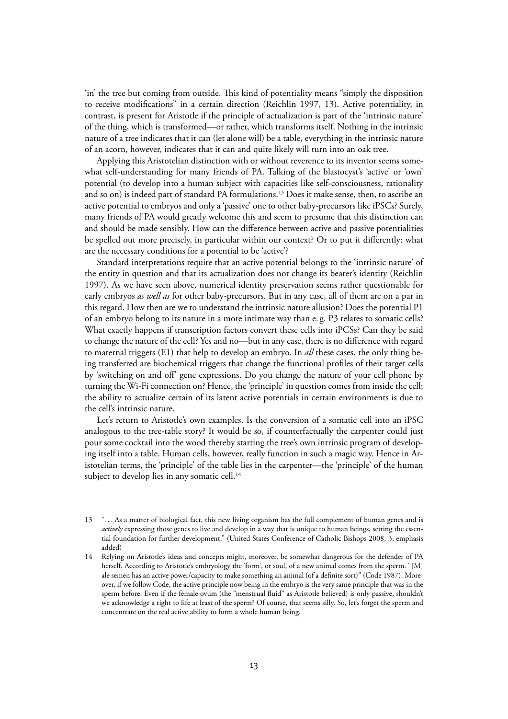'in' the tree but coming from outside. This kind of potentiality means "simply the disposition to receive modifications" in a certain direction (Reichlin 1997, 13). Active potentiality, in contrast, is present for Aristotle if the principle of actualization is part of the 'intrinsic nature' of the thing, which is transformed—or rather, which transforms itself. Nothing in the intrinsic nature of a tree indicates that it can (let alone will) be a table, everything in the intrinsic nature of an acorn, however, indicates that it can and quite likely will turn into an oak tree.

Applying this Aristotelian distinction with or without reverence to its inventor seems somewhat self-understanding for many friends of PA. Talking of the blastocyst's 'active' or 'own' potential (to develop into a human subject with capacities like self-consciousness, rationality and so on) is indeed part of standard PA formulations.<sup>13</sup> Does it make sense, then, to ascribe an active potential to embryos and only a 'passive' one to other baby-precursors like iPSCs? Surely, many friends of PA would greatly welcome this and seem to presume that this distinction can and should be made sensibly. How can the difference between active and passive potentialities be spelled out more precisely, in particular within our context? Or to put it differently: what are the necessary conditions for a potential to be 'active'?

Standard interpretations require that an active potential belongs to the 'intrinsic nature' of the entity in question and that its actualization does not change its bearer's identity (Reichlin 1997). As we have seen above, numerical identity preservation seems rather questionable for early embryos *as well as* for other baby-precursors. But in any case, all of them are on a par in this regard. How then are we to understand the intrinsic nature allusion? Does the potential P1 of an embryo belong to its nature in a more intimate way than e. g. P3 relates to somatic cells? What exactly happens if transcription factors convert these cells into iPCSs? Can they be said to change the nature of the cell? Yes and no—but in any case, there is no difference with regard to maternal triggers (E1) that help to develop an embryo. In *all* these cases, the only thing being transferred are biochemical triggers that change the functional profiles of their target cells by 'switching on and off' gene expressions. Do you change the nature of your cell phone by turning the Wi-Fi connection on? Hence, the 'principle' in question comes from inside the cell; the ability to actualize certain of its latent active potentials in certain environments is due to the cell's intrinsic nature.

Let's return to Aristotle's own examples. Is the conversion of a somatic cell into an iPSC analogous to the tree-table story? It would be so, if counterfactually the carpenter could just pour some cocktail into the wood thereby starting the tree's own intrinsic program of developing itself into a table. Human cells, however, really function in such a magic way. Hence in Aristotelian terms, the 'principle' of the table lies in the carpenter—the 'principle' of the human subject to develop lies in any somatic cell.<sup>14</sup>

<sup>13</sup> "… As a matter of biological fact, this new living organism has the full complement of human genes and is *actively* expressing those genes to live and develop in a way that is unique to human beings, setting the essential foundation for further development." (United States Conference of Catholic Bishops 2008, 3; emphasis added)

<sup>14</sup> Relying on Aristotle's ideas and concepts might, moreover, be somewhat dangerous for the defender of PA herself. According to Aristotle's embryology the 'form', or soul, of a new animal comes from the sperm. "[M] ale semen has an active power/capacity to make something an animal (of a definite sort)" (Code 1987). Moreover, if we follow Code, the active principle now being in the embryo is the very same principle that was in the sperm before. Even if the female ovum (the "menstrual fluid" as Aristotle believed) is only passive, shouldn't we acknowledge a right to life at least of the sperm? Of course, that seems silly. So, let's forget the sperm and concentrate on the real active ability to form a whole human being.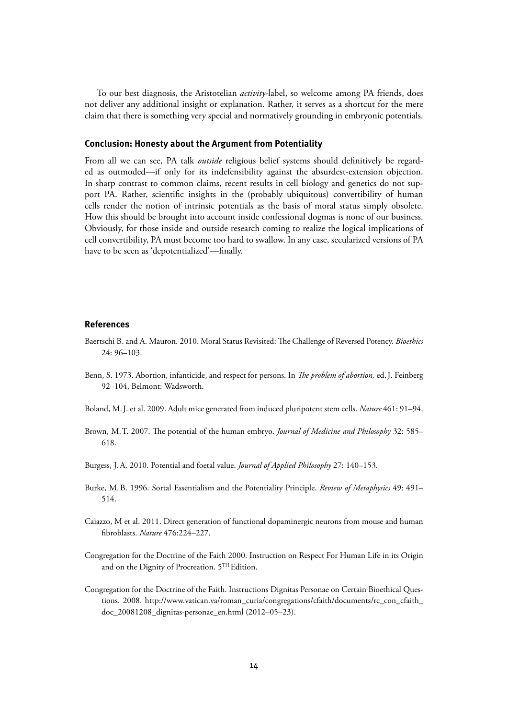To our best diagnosis, the Aristotelian *activity*-label, so welcome among PA friends, does not deliver any additional insight or explanation. Rather, it serves as a shortcut for the mere claim that there is something very special and normatively grounding in embryonic potentials.

# **Conclusion: Honesty about the Argument from Potentiality**

From all we can see, PA talk *outside* religious belief systems should definitively be regarded as outmoded—if only for its indefensibility against the absurdest-extension objection. In sharp contrast to common claims, recent results in cell biology and genetics do not support PA. Rather, scientific insights in the (probably ubiquitous) convertibility of human cells render the notion of intrinsic potentials as the basis of moral status simply obsolete. How this should be brought into account inside confessional dogmas is none of our business. Obviously, for those inside and outside research coming to realize the logical implications of cell convertibility, PA must become too hard to swallow. In any case, secularized versions of PA have to be seen as 'depotentialized'—finally.

#### **References**

- Baertschi B. and A. Mauron. 2010. Moral Status Revisited: The Challenge of Reversed Potency. *Bioethics* 24: 96–103.
- Benn, S. 1973. Abortion, infanticide, and respect for persons. In *The problem of abortion,* ed.J. Feinberg 92–104, Belmont: Wadsworth.
- Boland, M.J. et al. 2009. Adult mice generated from induced pluripotent stem cells. *Nature* 461: 91–94.
- Brown, M.T. 2007. The potential of the human embryo. *Journal of Medicine and Philosophy* 32: 585– 618.
- Burgess, J.A. 2010. Potential and foetal value. *Journal of Applied Philosophy* 27: 140–153.
- Burke, M.B. 1996. Sortal Essentialism and the Potentiality Principle. *Review of Metaphysics* 49: 491– 514.
- Caiazzo, M et al. 2011. Direct generation of functional dopaminergic neurons from mouse and human fibroblasts. *Nature* 476:224–227.
- Congregation for the Doctrine of the Faith 2000. Instruction on Respect For Human Life in its Origin and on the Dignity of Procreation. 5TH Edition.
- Congregation for the Doctrine of the Faith. Instructions Dignitas Personae on Certain Bioethical Questions. 2008. http://www.vatican.va/roman\_curia/congregations/cfaith/documents/rc\_con\_cfaith\_ doc\_20081208\_dignitas-personae\_en.html (2012–05–23).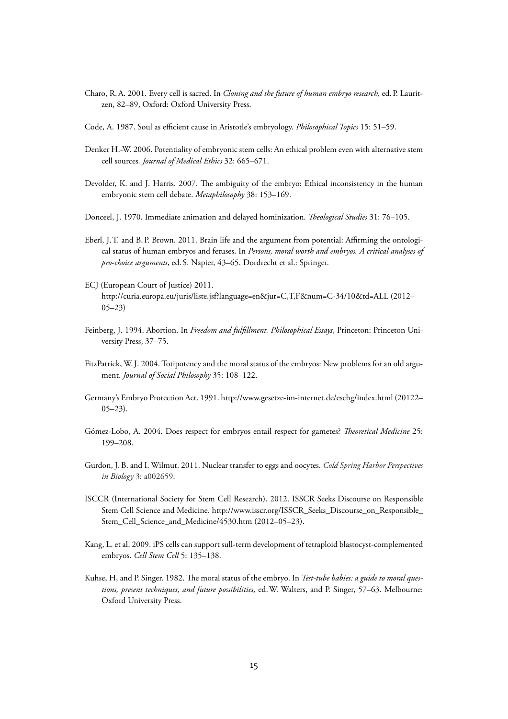- Charo, R.A. 2001. Every cell is sacred. In *Cloning and the future of human embryo research*, ed. P. Lauritzen, 82–89, Oxford: Oxford University Press.
- Code, A. 1987. Soul as efficient cause in Aristotle's embryology. *Philosophical Topics* 15: 51–59.
- Denker H.-W. 2006. Potentiality of embryonic stem cells: An ethical problem even with alternative stem cell sources*. Journal of Medical Ethics* 32: 665–671.
- Devolder, K. and J. Harris. 2007. The ambiguity of the embryo: Ethical inconsistency in the human embryonic stem cell debate. *Metaphilosophy* 38: 153–169.
- Donceel, J. 1970. Immediate animation and delayed hominization. *Theological Studies* 31: 76–105.
- Eberl, J.T. and B.P. Brown. 2011. Brain life and the argument from potential: Affirming the ontological status of human embryos and fetuses. In *Persons, moral worth and embryos. A critical analyses of pro-choice arguments*, ed. S. Napier, 43–65. Dordrecht et al.: Springer.
- ECJ (European Court of Justice) 2011. http://curia.europa.eu/juris/liste.jsf?language=en&jur=C,T,F&num=C-34/10&td=ALL (2012–  $05-23$
- Feinberg, J. 1994. Abortion. In *Freedom and fulfillment. Philosophical Essays*, Princeton: Princeton University Press, 37–75.
- FitzPatrick, W.J. 2004. Totipotency and the moral status of the embryos: New problems for an old argument. *Journal of Social Philosophy* 35: 108–122.
- Germany's Embryo Protection Act. 1991. http://www.gesetze-im-internet.de/eschg/index.html (20122–  $05-23$ ).
- Gómez-Lobo, A. 2004. Does respect for embryos entail respect for gametes? *Theoretical Medicine* 25: 199–208.
- Gurdon, J.B. and I. Wilmut. 2011. Nuclear transfer to eggs and oocytes. *Cold Spring Harbor Perspectives in Biology* 3: a002659.
- ISCCR (International Society for Stem Cell Research). 2012. ISSCR Seeks Discourse on Responsible Stem Cell Science and Medicine. http://www.isscr.org/ISSCR\_Seeks\_Discourse\_on\_Responsible\_ Stem\_Cell\_Science\_and\_Medicine/4530.htm (2012–05–23).
- Kang, L. et al. 2009. iPS cells can support sull-term development of tetraploid blastocyst-complemented embryos. *Cell Stem Cell* 5: 135–138.
- Kuhse, H, and P. Singer. 1982. The moral status of the embryo. In *Test-tube babies: a guide to moral questions, present techniques, and future possibilities,* ed.W. Walters, and P. Singer, 57–63. Melbourne: Oxford University Press.